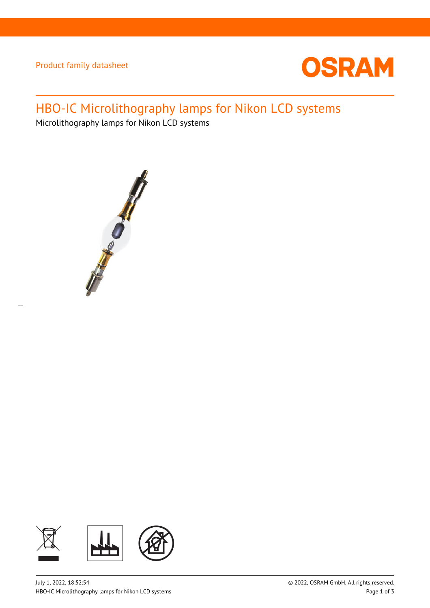Product family datasheet



# HBO-IC Microlithography lamps for Nikon LCD systems

Microlithography lamps for Nikon LCD systems



 $\overline{a}$ 

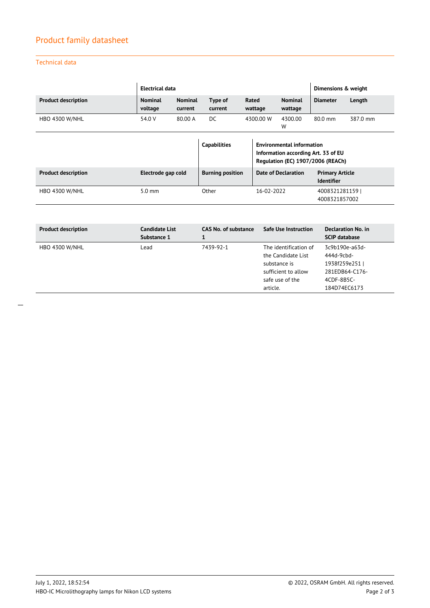## Product family datasheet

## Technical data

|                            | <b>Electrical data</b>    |                           | Dimensions & weight     |                                                                                                              |                            |                                             |          |
|----------------------------|---------------------------|---------------------------|-------------------------|--------------------------------------------------------------------------------------------------------------|----------------------------|---------------------------------------------|----------|
| <b>Product description</b> | <b>Nominal</b><br>voltage | <b>Nominal</b><br>current | Type of<br>current      | Rated<br>wattage                                                                                             | <b>Nominal</b><br>wattage  | <b>Diameter</b>                             | Length   |
| <b>HBO 4300 W/NHL</b>      | 54.0 V                    | 80.00 A                   | DC.                     | 4300.00 W                                                                                                    | 4300.00<br>W               | $80.0$ mm                                   | 387.0 mm |
|                            |                           |                           | <b>Capabilities</b>     | <b>Environmental information</b><br>Information according Art. 33 of EU<br>Regulation (EC) 1907/2006 (REACh) |                            |                                             |          |
| <b>Product description</b> | Electrode gap cold        |                           | <b>Burning position</b> |                                                                                                              | <b>Date of Declaration</b> | <b>Primary Article</b><br><b>Identifier</b> |          |
| <b>HBO 4300 W/NHL</b>      | $5.0 \text{ mm}$          |                           | Other                   | 16-02-2022                                                                                                   |                            | 4008321281159<br>4008321857002              |          |

| <b>Product description</b> | <b>Candidate List</b><br>Substance 1 | CAS No. of substance | <b>Safe Use Instruction</b>                 | Declaration No. in<br><b>SCIP database</b>                    |
|----------------------------|--------------------------------------|----------------------|---------------------------------------------|---------------------------------------------------------------|
| <b>HBO 4300 W/NHL</b>      | Lead                                 | 7439-92-1            | The identification of<br>the Candidate List | 3c9b190e-a63d-<br>444d-9cbd-                                  |
|                            |                                      |                      |                                             | 1938f259e2511<br>281EDB64-C176-<br>4CDF-8B5C-<br>184D74EC6173 |